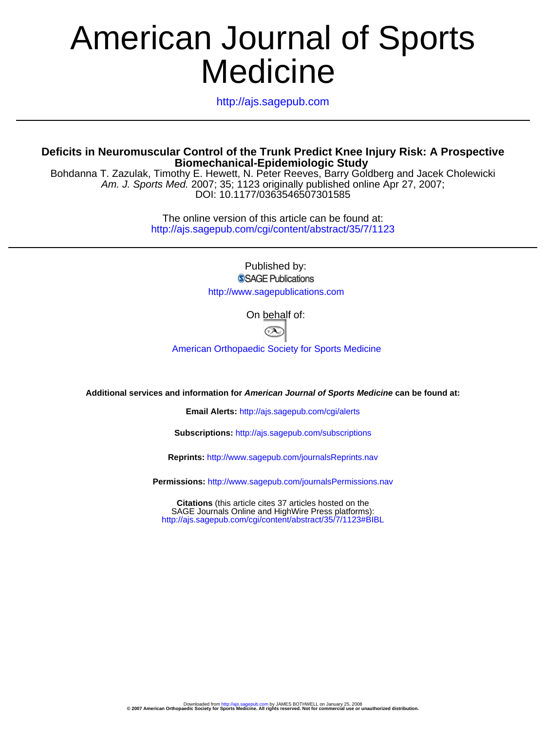# Medicine American Journal of Sports

http://ajs.sagepub.com

#### **Biomechanical-Epidemiologic Study Deficits in Neuromuscular Control of the Trunk Predict Knee Injury Risk: A Prospective**

DOI: 10.1177/0363546507301585 Am. J. Sports Med. 2007; 35; 1123 originally published online Apr 27, 2007; Bohdanna T. Zazulak, Timothy E. Hewett, N. Peter Reeves, Barry Goldberg and Jacek Cholewicki

> http://ajs.sagepub.com/cgi/content/abstract/35/7/1123 The online version of this article can be found at:

> > Published by: **SSAGE Publications** http://www.sagepublications.com

> > > On behalf of:



[American Orthopaedic Society for Sports Medicine](http://www.aossm.org)

**Additional services and information for American Journal of Sports Medicine can be found at:**

**Email Alerts:** <http://ajs.sagepub.com/cgi/alerts>

**Subscriptions:** <http://ajs.sagepub.com/subscriptions>

**Reprints:** <http://www.sagepub.com/journalsReprints.nav>

**Permissions:** <http://www.sagepub.com/journalsPermissions.nav>

<http://ajs.sagepub.com/cgi/content/abstract/35/7/1123#BIBL> SAGE Journals Online and HighWire Press platforms): **Citations** (this article cites 37 articles hosted on the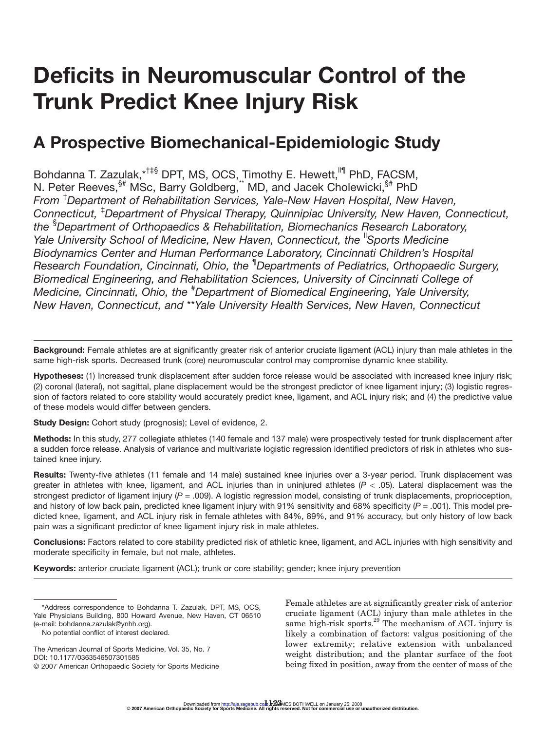## **Deficits in Neuromuscular Control of the Trunk Predict Knee Injury Risk**

### **A Prospective Biomechanical-Epidemiologic Study**

Bohdanna T. Zazulak,\*<sup>†‡§</sup> DPT, MS, OCS, Timothy E. Hewett,<sup>I'¶</sup> PhD, FACSM, N. Peter Reeves, <sup>§#</sup> MSc, Barry Goldberg, MD, and Jacek Cholewicki, <sup>§#</sup> PhD *From* † *Department of Rehabilitation Services, Yale-New Haven Hospital, New Haven, Connecticut,* ‡ *Department of Physical Therapy, Quinnipiac University, New Haven, Connecticut, the* § *Department of Orthopaedics & Rehabilitation, Biomechanics Research Laboratory, Yale University School of Medicine, New Haven, Connecticut, the <sup>"</sup>Sports Medicine" Biodynamics Center and Human Performance Laboratory, Cincinnati Children's Hospital Research Foundation, Cincinnati, Ohio, the* ¶ *Departments of Pediatrics, Orthopaedic Surgery, Biomedical Engineering, and Rehabilitation Sciences, University of Cincinnati College of Medicine, Cincinnati, Ohio, the* # *Department of Biomedical Engineering, Yale University, New Haven, Connecticut, and* \*\**Yale University Health Services, New Haven, Connecticut*

**Background:** Female athletes are at significantly greater risk of anterior cruciate ligament (ACL) injury than male athletes in the same high-risk sports. Decreased trunk (core) neuromuscular control may compromise dynamic knee stability.

**Hypotheses:** (1) Increased trunk displacement after sudden force release would be associated with increased knee injury risk; (2) coronal (lateral), not sagittal, plane displacement would be the strongest predictor of knee ligament injury; (3) logistic regression of factors related to core stability would accurately predict knee, ligament, and ACL injury risk; and (4) the predictive value of these models would differ between genders.

**Study Design:** Cohort study (prognosis); Level of evidence, 2.

**Methods:** In this study, 277 collegiate athletes (140 female and 137 male) were prospectively tested for trunk displacement after a sudden force release. Analysis of variance and multivariate logistic regression identified predictors of risk in athletes who sustained knee injury.

**Results:** Twenty-five athletes (11 female and 14 male) sustained knee injuries over a 3-year period. Trunk displacement was greater in athletes with knee, ligament, and ACL injuries than in uninjured athletes ( $P < .05$ ). Lateral displacement was the strongest predictor of ligament injury ( $P = .009$ ). A logistic regression model, consisting of trunk displacements, proprioception, and history of low back pain, predicted knee ligament injury with 91% sensitivity and 68% specificity ( $P = .001$ ). This model predicted knee, ligament, and ACL injury risk in female athletes with 84%, 89%, and 91% accuracy, but only history of low back pain was a significant predictor of knee ligament injury risk in male athletes.

**Conclusions:** Factors related to core stability predicted risk of athletic knee, ligament, and ACL injuries with high sensitivity and moderate specificity in female, but not male, athletes.

**Keywords:** anterior cruciate ligament (ACL); trunk or core stability; gender; knee injury prevention

The American Journal of Sports Medicine, Vol. 35, No. 7 DOI: 10.1177/0363546507301585 © 2007 American Orthopaedic Society for Sports Medicine

Female athletes are at significantly greater risk of anterior cruciate ligament (ACL) injury than male athletes in the same high-risk sports.<sup>29</sup> The mechanism of ACL injury is likely a combination of factors: valgus positioning of the lower extremity; relative extension with unbalanced weight distribution; and the plantar surface of the foot being fixed in position, away from the center of mass of the

<sup>\*</sup>Address correspondence to Bohdanna T. Zazulak, DPT, MS, OCS, Yale Physicians Building, 800 Howard Avenue, New Haven, CT 06510 (e-mail: bohdanna.zazulak@ynhh.org).

No potential conflict of interest declared.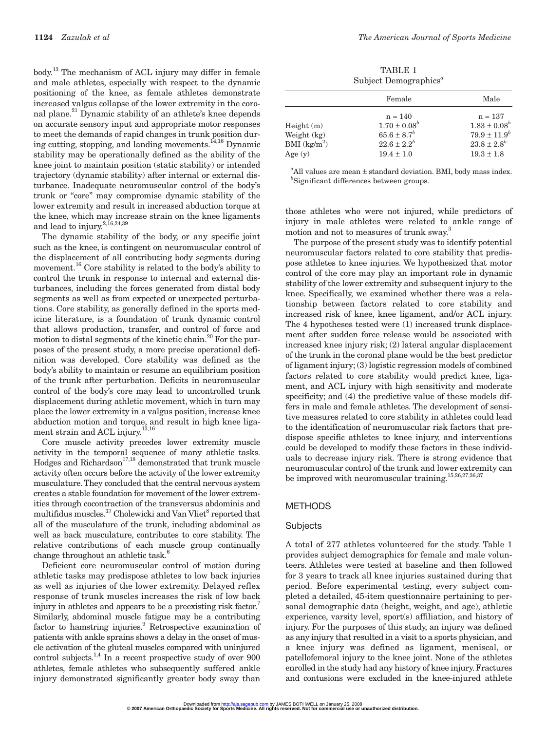body.13 The mechanism of ACL injury may differ in female and male athletes, especially with respect to the dynamic positioning of the knee, as female athletes demonstrate increased valgus collapse of the lower extremity in the coronal plane.<sup>21</sup> Dynamic stability of an athlete's knee depends on accurate sensory input and appropriate motor responses to meet the demands of rapid changes in trunk position during cutting, stopping, and landing movements.14,16 Dynamic stability may be operationally defined as the ability of the knee joint to maintain position (static stability) or intended trajectory (dynamic stability) after internal or external disturbance. Inadequate neuromuscular control of the body's trunk or "core" may compromise dynamic stability of the lower extremity and result in increased abduction torque at the knee, which may increase strain on the knee ligaments and lead to injury.<sup>2,16,24,39</sup>

The dynamic stability of the body, or any specific joint such as the knee, is contingent on neuromuscular control of the displacement of all contributing body segments during movement.<sup>16</sup> Core stability is related to the body's ability to control the trunk in response to internal and external disturbances, including the forces generated from distal body segments as well as from expected or unexpected perturbations. Core stability, as generally defined in the sports medicine literature, is a foundation of trunk dynamic control that allows production, transfer, and control of force and motion to distal segments of the kinetic chain.<sup>20</sup> For the purposes of the present study, a more precise operational definition was developed. Core stability was defined as the body's ability to maintain or resume an equilibrium position of the trunk after perturbation. Deficits in neuromuscular control of the body's core may lead to uncontrolled trunk displacement during athletic movement, which in turn may place the lower extremity in a valgus position, increase knee abduction motion and torque, and result in high knee ligament strain and ACL injury.13,16

Core muscle activity precedes lower extremity muscle activity in the temporal sequence of many athletic tasks.  $H$ odges and Richardson<sup>17,18</sup> demonstrated that trunk muscle activity often occurs before the activity of the lower extremity musculature.They concluded that the central nervous system creates a stable foundation for movement of the lower extremities through cocontraction of the transversus abdominis and multifidus muscles.<sup>17</sup> Cholewicki and Van Vliet<sup>8</sup> reported that all of the musculature of the trunk, including abdominal as well as back musculature, contributes to core stability. The relative contributions of each muscle group continually change throughout an athletic task.<sup>6</sup>

Deficient core neuromuscular control of motion during athletic tasks may predispose athletes to low back injuries as well as injuries of the lower extremity. Delayed reflex response of trunk muscles increases the risk of low back injury in athletes and appears to be a preexisting risk factor.<sup>7</sup> Similarly, abdominal muscle fatigue may be a contributing factor to hamstring injuries.<sup>9</sup> Retrospective examination of patients with ankle sprains shows a delay in the onset of muscle activation of the gluteal muscles compared with uninjured control subjects. $^{1,4}$  In a recent prospective study of over 900 athletes, female athletes who subsequently suffered ankle injury demonstrated significantly greater body sway than

TABLE 1 Subject Demographics*<sup>a</sup>*

|                | Female             | Male               |
|----------------|--------------------|--------------------|
|                | $n = 140$          | $n = 137$          |
| Height(m)      | $1.70 \pm 0.08^b$  | $1.83 \pm 0.08^b$  |
| Weight (kg)    | $65.6 \pm 8.7^{b}$ | $79.9 \pm 11.9^b$  |
| BMI $(kg/m^2)$ | $22.6 \pm 2.2^b$   | $23.8 \pm 2.8^{b}$ |
| Age $(y)$      | $19.4 \pm 1.0$     | $19.3 \pm 1.8$     |

*a* All values are mean ± standard deviation. BMI, body mass index. *b* Significant differences between groups.

those athletes who were not injured, while predictors of injury in male athletes were related to ankle range of motion and not to measures of trunk sway.<sup>3</sup>

The purpose of the present study was to identify potential neuromuscular factors related to core stability that predispose athletes to knee injuries. We hypothesized that motor control of the core may play an important role in dynamic stability of the lower extremity and subsequent injury to the knee. Specifically, we examined whether there was a relationship between factors related to core stability and increased risk of knee, knee ligament, and/or ACL injury. The 4 hypotheses tested were (1) increased trunk displacement after sudden force release would be associated with increased knee injury risk; (2) lateral angular displacement of the trunk in the coronal plane would be the best predictor of ligament injury; (3) logistic regression models of combined factors related to core stability would predict knee, ligament, and ACL injury with high sensitivity and moderate specificity; and (4) the predictive value of these models differs in male and female athletes. The development of sensitive measures related to core stability in athletes could lead to the identification of neuromuscular risk factors that predispose specific athletes to knee injury, and interventions could be developed to modify these factors in these individuals to decrease injury risk. There is strong evidence that neuromuscular control of the trunk and lower extremity can be improved with neuromuscular training.<sup>15,26,27,36,37</sup>

#### METHODS

#### **Subjects**

A total of 277 athletes volunteered for the study. Table 1 provides subject demographics for female and male volunteers. Athletes were tested at baseline and then followed for 3 years to track all knee injuries sustained during that period. Before experimental testing, every subject completed a detailed, 45-item questionnaire pertaining to personal demographic data (height, weight, and age), athletic experience, varsity level, sport(s) affiliation, and history of injury. For the purposes of this study, an injury was defined as any injury that resulted in a visit to a sports physician, and a knee injury was defined as ligament, meniscal, or patellofemoral injury to the knee joint. None of the athletes enrolled in the study had any history of knee injury. Fractures and contusions were excluded in the knee-injured athlete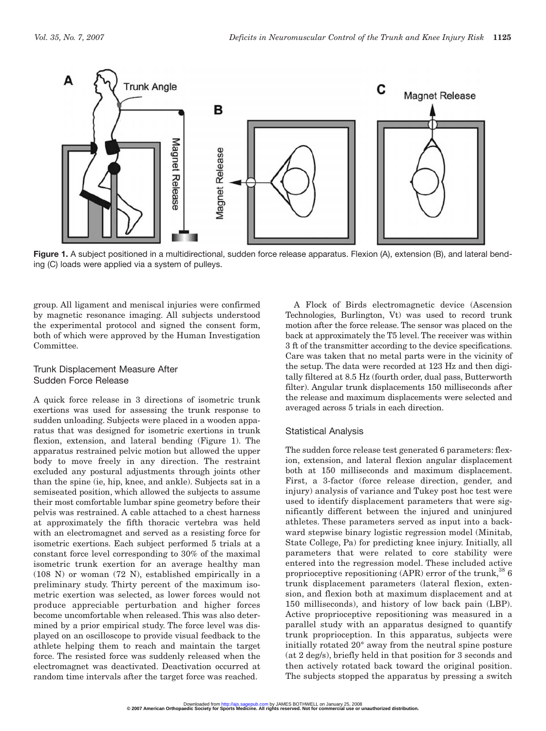

Figure 1. A subject positioned in a multidirectional, sudden force release apparatus. Flexion (A), extension (B), and lateral bending (C) loads were applied via a system of pulleys.

group. All ligament and meniscal injuries were confirmed by magnetic resonance imaging. All subjects understood the experimental protocol and signed the consent form, both of which were approved by the Human Investigation Committee.

#### Trunk Displacement Measure After Sudden Force Release

A quick force release in 3 directions of isometric trunk exertions was used for assessing the trunk response to sudden unloading. Subjects were placed in a wooden apparatus that was designed for isometric exertions in trunk flexion, extension, and lateral bending (Figure 1). The apparatus restrained pelvic motion but allowed the upper body to move freely in any direction. The restraint excluded any postural adjustments through joints other than the spine (ie, hip, knee, and ankle). Subjects sat in a semiseated position, which allowed the subjects to assume their most comfortable lumbar spine geometry before their pelvis was restrained. A cable attached to a chest harness at approximately the fifth thoracic vertebra was held with an electromagnet and served as a resisting force for isometric exertions. Each subject performed 5 trials at a constant force level corresponding to 30% of the maximal isometric trunk exertion for an average healthy man (108 N) or woman (72 N), established empirically in a preliminary study. Thirty percent of the maximum isometric exertion was selected, as lower forces would not produce appreciable perturbation and higher forces become uncomfortable when released. This was also determined by a prior empirical study. The force level was displayed on an oscilloscope to provide visual feedback to the athlete helping them to reach and maintain the target force. The resisted force was suddenly released when the electromagnet was deactivated. Deactivation occurred at random time intervals after the target force was reached.

A Flock of Birds electromagnetic device (Ascension Technologies, Burlington, Vt) was used to record trunk motion after the force release. The sensor was placed on the back at approximately the T5 level. The receiver was within 3 ft of the transmitter according to the device specifications. Care was taken that no metal parts were in the vicinity of the setup. The data were recorded at 123 Hz and then digitally filtered at 8.5 Hz (fourth order, dual pass, Butterworth filter). Angular trunk displacements 150 milliseconds after the release and maximum displacements were selected and averaged across 5 trials in each direction.

#### Statistical Analysis

The sudden force release test generated 6 parameters: flexion, extension, and lateral flexion angular displacement both at 150 milliseconds and maximum displacement. First, a 3-factor (force release direction, gender, and injury) analysis of variance and Tukey post hoc test were used to identify displacement parameters that were significantly different between the injured and uninjured athletes. These parameters served as input into a backward stepwise binary logistic regression model (Minitab, State College, Pa) for predicting knee injury. Initially, all parameters that were related to core stability were entered into the regression model. These included active proprioceptive repositioning  $(APR)$  error of the trunk,<sup>38</sup> 6 trunk displacement parameters (lateral flexion, extension, and flexion both at maximum displacement and at 150 milliseconds), and history of low back pain (LBP). Active proprioceptive repositioning was measured in a parallel study with an apparatus designed to quantify trunk proprioception. In this apparatus, subjects were initially rotated 20° away from the neutral spine posture (at 2 deg/s), briefly held in that position for 3 seconds and then actively rotated back toward the original position. The subjects stopped the apparatus by pressing a switch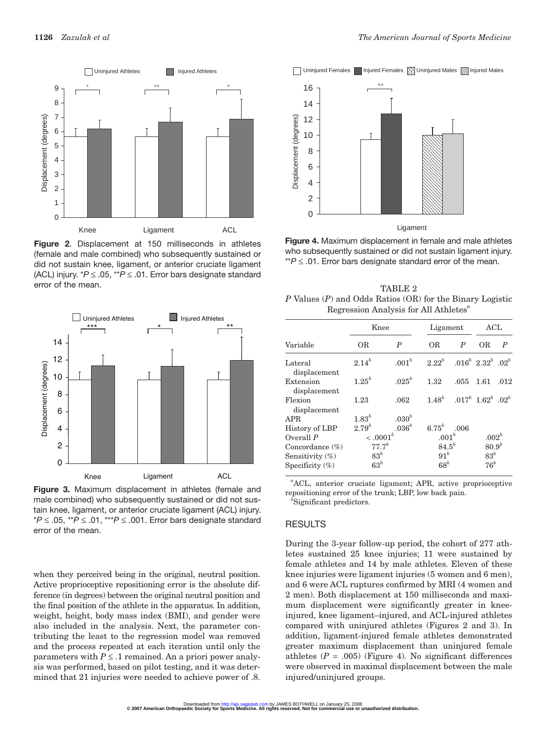

**Figure 2**. Displacement at 150 milliseconds in athletes (female and male combined) who subsequently sustained or did not sustain knee, ligament, or anterior cruciate ligament (ACL) injury. \**P* ≤ .05, \*\**P* ≤ .01. Error bars designate standard error of the mean.



**Figure 3.** Maximum displacement in athletes (female and male combined) who subsequently sustained or did not sustain knee, ligament, or anterior cruciate ligament (ACL) injury. \**P* ≤ .05, \*\**P* ≤ .01, \*\*\**P* ≤ .001. Error bars designate standard error of the mean.

when they perceived being in the original, neutral position. Active proprioceptive repositioning error is the absolute difference (in degrees) between the original neutral position and the final position of the athlete in the apparatus. In addition, weight, height, body mass index (BMI), and gender were also included in the analysis. Next, the parameter contributing the least to the regression model was removed and the process repeated at each iteration until only the parameters with  $P \leq 1$  remained. An a priori power analysis was performed, based on pilot testing, and it was determined that 21 injuries were needed to achieve power of .8.

**Initially** Uninjured Females Injured Females **N** Uninjured Males **Injured Males** 



**Figure 4.** Maximum displacement in female and male athletes who subsequently sustained or did not sustain ligament injury. \*\**P* ≤ .01. Error bars designate standard error of the mean.

TABLE 2 *P* Values (*P*) and Odds Ratios (OR) for the Binary Logistic Regression Analysis for All Athletes*<sup>a</sup>*

|                           |             | Knee              | Ligament          |                                      | ACL                         |                  |  |
|---------------------------|-------------|-------------------|-------------------|--------------------------------------|-----------------------------|------------------|--|
| Variable                  | ОR          | $\boldsymbol{P}$  | <b>OR</b>         | $\boldsymbol{P}$                     | <b>OR</b>                   | $\boldsymbol{P}$ |  |
| Lateral<br>displacement   | $2.14^{b}$  | $.001^{b}$        | $2.22^{b}$        |                                      | $0.016^b$ $2.32^b$ $0.02^b$ |                  |  |
| Extension<br>displacement | $1.25^{b}$  | $.025^{b}$        | 1.32              | .055                                 | 1.61                        | .012             |  |
| Flexion<br>displacement   | 1.23        | .062              |                   | $1.48^b$ $0.017^b$ $1.62^b$ $0.02^b$ |                             |                  |  |
| <b>APR</b>                | $1.83^{b}$  | .030 <sup>b</sup> |                   |                                      |                             |                  |  |
| History of LBP            | $2.79^{b}$  | .036 <sup>b</sup> | 6.75 $^{b}$       | .006                                 |                             |                  |  |
| Overall $P$               | $< .0001^b$ |                   | .001 <sup>b</sup> |                                      | .002 <sup>b</sup>           |                  |  |
| Concordance $(\%)$        | $77.7^{b}$  |                   |                   | $84.5^{b}$                           |                             | $80.9^{b}$       |  |
| Sensitivity $(\%)$        | $83^b$      |                   | $91^b$            |                                      | $83^b$                      |                  |  |
| Specificity $(\%)$        | $63^b$      |                   | $68^b$            |                                      | $76^b$                      |                  |  |

*a* ACL, anterior cruciate ligament; APR, active proprioceptive repositioning error of the trunk; LBP, low back pain.

*b* Significant predictors.

#### RESULTS

During the 3-year follow-up period, the cohort of 277 athletes sustained 25 knee injuries; 11 were sustained by female athletes and 14 by male athletes. Eleven of these knee injuries were ligament injuries (5 women and 6 men), and 6 were ACL ruptures confirmed by MRI (4 women and 2 men). Both displacement at 150 milliseconds and maximum displacement were significantly greater in kneeinjured, knee ligament–injured, and ACL-injured athletes compared with uninjured athletes (Figures 2 and 3). In addition, ligament-injured female athletes demonstrated greater maximum displacement than uninjured female athletes  $(P = .005)$  (Figure 4). No significant differences were observed in maximal displacement between the male injured/uninjured groups.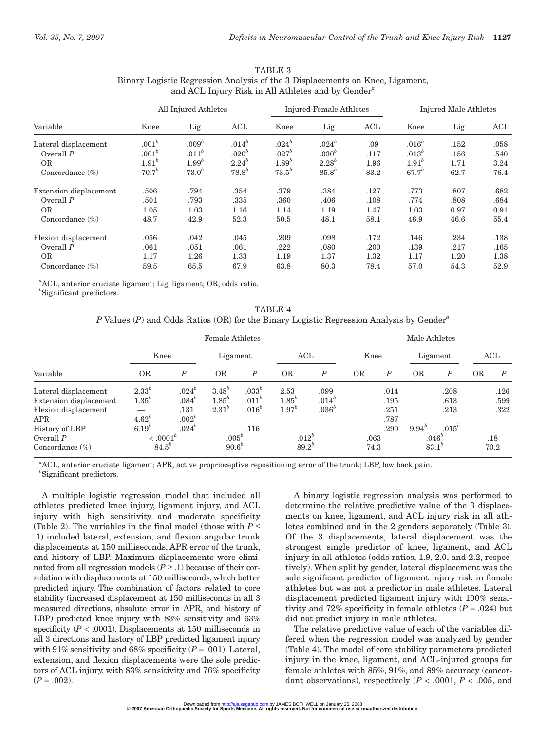| Variable               | All Injured Athletes |                   |            | <b>Injured Female Athletes</b> |                   |      | Injured Male Athletes |      |      |  |
|------------------------|----------------------|-------------------|------------|--------------------------------|-------------------|------|-----------------------|------|------|--|
|                        | Knee                 | Lig               | ACL        | Knee                           | Lig               | ACL  | Knee                  | Lig  | ACL  |  |
| Lateral displacement   | .001 <sup>b</sup>    | .009 <sup>b</sup> | $.014^{b}$ | $.024^{b}$                     | $.024^{b}$        | .09  | $.016^b$              | .152 | .058 |  |
| Overall $P$            | .001 <sup>b</sup>    | .011 <sup>b</sup> | $.020^{b}$ | $.027^{b}$                     | .030 <sup>b</sup> | .117 | $.013^b$              | .156 | .540 |  |
| <b>OR</b>              | 1.91 <sup>b</sup>    | 1.99 <sup>b</sup> | $2.24^{b}$ | $1.89^{b}$                     | $2.28^{b}$        | 1.96 | 1.91 <sup>b</sup>     | 1.71 | 3.24 |  |
| Concordance $(\%)$     | $70.7^{b}$           | $73.0^{b}$        | $78.8^{b}$ | $73.5^{b}$                     | $85.8^{b}$        | 83.2 | $67.7^{b}$            | 62.7 | 76.4 |  |
| Extension displacement | .506                 | .794              | .354       | .379                           | .384              | .127 | .773                  | .807 | .682 |  |
| Overall $P$            | .501                 | .793              | .335       | .360                           | .406              | .108 | .774                  | .808 | .684 |  |
| <b>OR</b>              | 1.05                 | 1.03              | 1.16       | 1.14                           | 1.19              | 1.47 | 1.03                  | 0.97 | 0.91 |  |
| Concordance $(\%)$     | 48.7                 | 42.9              | 52.3       | 50.5                           | 48.1              | 58.1 | 46.9                  | 46.6 | 55.4 |  |
| Flexion displacement   | .056                 | .042              | .045       | .209                           | .098              | .172 | .146                  | .234 | .138 |  |
| Overall $P$            | .061                 | .051              | .061       | .222                           | .080              | .200 | .139                  | .217 | .165 |  |
| <b>OR</b>              | 1.17                 | 1.26              | 1.33       | 1.19                           | 1.37              | 1.32 | 1.17                  | 1.20 | 1.38 |  |
| Concordance $(\%)$     | 59.5                 | 65.5              | 67.9       | 63.8                           | 80.3              | 78.4 | 57.0                  | 54.3 | 52.9 |  |

| TABLE 3                                                                       |
|-------------------------------------------------------------------------------|
| Binary Logistic Regression Analysis of the 3 Displacements on Knee, Ligament, |
| and ACL Injury Risk in All Athletes and by Gender <sup>"</sup>                |

*a* ACL, anterior cruciate ligament; Lig, ligament; OR, odds ratio.

*b* Significant predictors.

TABLE 4 *P* Values (*P*) and Odds Ratios (OR) for the Binary Logistic Regression Analysis by Gender*<sup>a</sup>*

|                        |                            |                        | <b>Female Athletes</b>   |                   |            |                  | Male Athletes |                  |            |                   |           |                  |
|------------------------|----------------------------|------------------------|--------------------------|-------------------|------------|------------------|---------------|------------------|------------|-------------------|-----------|------------------|
| Variable               | Knee                       |                        | Ligament                 |                   | ACL        |                  | Knee          |                  | Ligament   |                   | ACL       |                  |
|                        | <b>OR</b>                  | $\boldsymbol{P}$       | <b>OR</b>                | $\boldsymbol{P}$  | <b>OR</b>  | $\boldsymbol{P}$ | <b>OR</b>     | $\boldsymbol{P}$ | <b>OR</b>  | $\boldsymbol{P}$  | <b>OR</b> | $\boldsymbol{P}$ |
| Lateral displacement   | $2.33^{b}$                 | $.024^{b}$             | $3.48^{b}$               | $.033^{b}$        | 2.53       | .099             |               | .014             |            | .208              |           | .126             |
| Extension displacement | $1.35^{b}$                 | $.084^b$               | $1.85^{b}$               | .011 <sup>b</sup> | $1.85^{b}$ | $.014^{b}$       |               | .195             |            | .613              |           | .599             |
| Flexion displacement   |                            | .131                   | $2.31^{b}$               | .016 <sup>b</sup> | $1.97^{b}$ | $.036^b$         |               | .251             |            | .213              |           | .322             |
| APR<br>History of LBP  | $4.62^{b}$<br>$6.19^\circ$ | $.002^b$<br>$.024^{b}$ |                          | .116              |            |                  |               | .787<br>.290     | $9.94^{b}$ | $.015^b$          |           |                  |
| Overall $P$            |                            | $< .0001^b$            |                          | $.005^b$          |            | $.012^{b}$       |               | .063             |            | .046 <sup>b</sup> |           | .18              |
| Concordance $(\%)$     | $84.5^{b}$                 |                        | $90.6^{b}$<br>$89.2^{b}$ |                   |            | 74.3             |               | $83.1^{b}$       |            |                   | 70.2      |                  |

*a* ACL, anterior cruciate ligament; APR, active proprioceptive repositioning error of the trunk; LBP, low back pain. *b* Significant predictors.

A multiple logistic regression model that included all athletes predicted knee injury, ligament injury, and ACL injury with high sensitivity and moderate specificity (Table 2). The variables in the final model (those with  $P \leq$ .1) included lateral, extension, and flexion angular trunk displacements at 150 milliseconds, APR error of the trunk, and history of LBP. Maximum displacements were eliminated from all regression models  $(P \ge 0.1)$  because of their correlation with displacements at 150 milliseconds, which better predicted injury. The combination of factors related to core stability (increased displacement at 150 milliseconds in all 3 measured directions, absolute error in APR, and history of LBP) predicted knee injury with 83% sensitivity and 63% specificity  $(P < .0001)$ . Displacements at 150 milliseconds in all 3 directions and history of LBP predicted ligament injury with 91% sensitivity and 68% specificity  $(P = .001)$ . Lateral, extension, and flexion displacements were the sole predictors of ACL injury, with 83% sensitivity and 76% specificity  $(P=.002)$ .

A binary logistic regression analysis was performed to determine the relative predictive value of the 3 displacements on knee, ligament, and ACL injury risk in all athletes combined and in the 2 genders separately (Table 3). Of the 3 displacements, lateral displacement was the strongest single predictor of knee, ligament, and ACL injury in all athletes (odds ratios, 1.9, 2.0, and 2.2, respectively). When split by gender, lateral displacement was the sole significant predictor of ligament injury risk in female athletes but was not a predictor in male athletes. Lateral displacement predicted ligament injury with 100% sensitivity and 72% specificity in female athletes  $(P = .024)$  but did not predict injury in male athletes.

The relative predictive value of each of the variables differed when the regression model was analyzed by gender (Table 4). The model of core stability parameters predicted injury in the knee, ligament, and ACL-injured groups for female athletes with 85%, 91%, and 89% accuracy (concordant observations), respectively  $(P < .0001, P < .005,$  and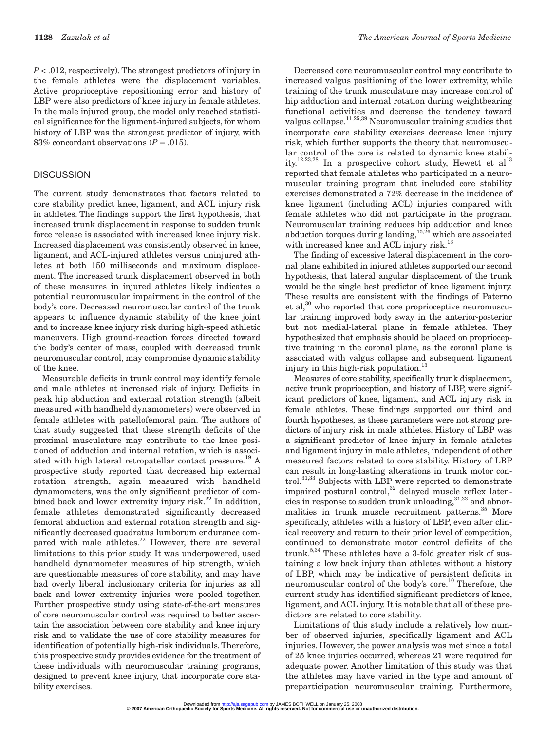*P* < .012, respectively). The strongest predictors of injury in the female athletes were the displacement variables. Active proprioceptive repositioning error and history of LBP were also predictors of knee injury in female athletes. In the male injured group, the model only reached statistical significance for the ligament-injured subjects, for whom history of LBP was the strongest predictor of injury, with 83% concordant observations  $(P = .015)$ .

#### **DISCUSSION**

The current study demonstrates that factors related to core stability predict knee, ligament, and ACL injury risk in athletes. The findings support the first hypothesis, that increased trunk displacement in response to sudden trunk force release is associated with increased knee injury risk. Increased displacement was consistently observed in knee, ligament, and ACL-injured athletes versus uninjured athletes at both 150 milliseconds and maximum displacement. The increased trunk displacement observed in both of these measures in injured athletes likely indicates a potential neuromuscular impairment in the control of the body's core. Decreased neuromuscular control of the trunk appears to influence dynamic stability of the knee joint and to increase knee injury risk during high-speed athletic maneuvers. High ground-reaction forces directed toward the body's center of mass, coupled with decreased trunk neuromuscular control, may compromise dynamic stability of the knee.

Measurable deficits in trunk control may identify female and male athletes at increased risk of injury. Deficits in peak hip abduction and external rotation strength (albeit measured with handheld dynamometers) were observed in female athletes with patellofemoral pain. The authors of that study suggested that these strength deficits of the proximal musculature may contribute to the knee positioned of adduction and internal rotation, which is associated with high lateral retropatellar contact pressure.<sup>19</sup> A prospective study reported that decreased hip external rotation strength, again measured with handheld dynamometers, was the only significant predictor of combined back and lower extremity injury risk. $^{22}$  In addition, female athletes demonstrated significantly decreased femoral abduction and external rotation strength and significantly decreased quadratus lumborum endurance compared with male athletes.<sup>22</sup> However, there are several limitations to this prior study. It was underpowered, used handheld dynamometer measures of hip strength, which are questionable measures of core stability, and may have had overly liberal inclusionary criteria for injuries as all back and lower extremity injuries were pooled together. Further prospective study using state-of-the-art measures of core neuromuscular control was required to better ascertain the association between core stability and knee injury risk and to validate the use of core stability measures for identification of potentially high-risk individuals. Therefore, this prospective study provides evidence for the treatment of these individuals with neuromuscular training programs, designed to prevent knee injury, that incorporate core stability exercises.

Decreased core neuromuscular control may contribute to increased valgus positioning of the lower extremity, while training of the trunk musculature may increase control of hip adduction and internal rotation during weightbearing functional activities and decrease the tendency toward valgus collapse.<sup>11,25,39</sup> Neuromuscular training studies that incorporate core stability exercises decrease knee injury risk, which further supports the theory that neuromuscular control of the core is related to dynamic knee stability.<sup>12,23,28</sup> In a prospective cohort study, Hewett et al<sup>13</sup> reported that female athletes who participated in a neuromuscular training program that included core stability exercises demonstrated a 72% decrease in the incidence of knee ligament (including ACL) injuries compared with female athletes who did not participate in the program. Neuromuscular training reduces hip adduction and knee abduction torques during landing,  $15,26$  which are associated with increased knee and ACL injury risk.<sup>13</sup>

The finding of excessive lateral displacement in the coronal plane exhibited in injured athletes supported our second hypothesis, that lateral angular displacement of the trunk would be the single best predictor of knee ligament injury. These results are consistent with the findings of Paterno et al, $30$  who reported that core proprioceptive neuromuscular training improved body sway in the anterior-posterior but not medial-lateral plane in female athletes. They hypothesized that emphasis should be placed on proprioceptive training in the coronal plane, as the coronal plane is associated with valgus collapse and subsequent ligament injury in this high-risk population.<sup>13</sup>

Measures of core stability, specifically trunk displacement, active trunk proprioception, and history of LBP, were significant predictors of knee, ligament, and ACL injury risk in female athletes. These findings supported our third and fourth hypotheses, as these parameters were not strong predictors of injury risk in male athletes. History of LBP was a significant predictor of knee injury in female athletes and ligament injury in male athletes, independent of other measured factors related to core stability. History of LBP can result in long-lasting alterations in trunk motor control.<sup>31,33</sup> Subjects with LBP were reported to demonstrate impaired postural control, $32$  delayed muscle reflex latencies in response to sudden trunk unloading,  $3^{1,33}$  and abnormalities in trunk muscle recruitment patterns.<sup>35</sup> More specifically, athletes with a history of LBP, even after clinical recovery and return to their prior level of competition, continued to demonstrate motor control deficits of the trunk.<sup>5,34</sup> These athletes have a 3-fold greater risk of sustaining a low back injury than athletes without a history of LBP, which may be indicative of persistent deficits in neuromuscular control of the body's core.<sup>10</sup> Therefore, the current study has identified significant predictors of knee, ligament, and ACL injury. It is notable that all of these predictors are related to core stability.

Limitations of this study include a relatively low number of observed injuries, specifically ligament and ACL injuries. However, the power analysis was met since a total of 25 knee injuries occurred, whereas 21 were required for adequate power. Another limitation of this study was that the athletes may have varied in the type and amount of preparticipation neuromuscular training. Furthermore,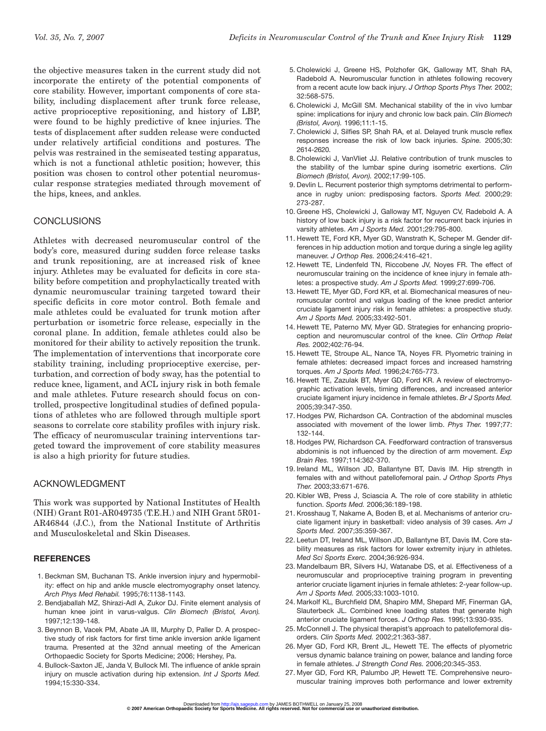the objective measures taken in the current study did not incorporate the entirety of the potential components of core stability. However, important components of core stability, including displacement after trunk force release, active proprioceptive repositioning, and history of LBP, were found to be highly predictive of knee injuries. The tests of displacement after sudden release were conducted under relatively artificial conditions and postures. The pelvis was restrained in the semiseated testing apparatus, which is not a functional athletic position; however, this position was chosen to control other potential neuromuscular response strategies mediated through movement of the hips, knees, and ankles.

#### **CONCLUSIONS**

Athletes with decreased neuromuscular control of the body's core, measured during sudden force release tasks and trunk repositioning, are at increased risk of knee injury. Athletes may be evaluated for deficits in core stability before competition and prophylactically treated with dynamic neuromuscular training targeted toward their specific deficits in core motor control. Both female and male athletes could be evaluated for trunk motion after perturbation or isometric force release, especially in the coronal plane. In addition, female athletes could also be monitored for their ability to actively reposition the trunk. The implementation of interventions that incorporate core stability training, including proprioceptive exercise, perturbation, and correction of body sway, has the potential to reduce knee, ligament, and ACL injury risk in both female and male athletes. Future research should focus on controlled, prospective longitudinal studies of defined populations of athletes who are followed through multiple sport seasons to correlate core stability profiles with injury risk. The efficacy of neuromuscular training interventions targeted toward the improvement of core stability measures is also a high priority for future studies.

#### ACKNOWLEDGMENT

This work was supported by National Institutes of Health (NIH) Grant R01-AR049735 (T.E.H.) and NIH Grant 5R01- AR46844 (J.C.), from the National Institute of Arthritis and Musculoskeletal and Skin Diseases.

#### **REFERENCES**

- 1. Beckman SM, Buchanan TS. Ankle inversion injury and hypermobility: effect on hip and ankle muscle electromyography onset latency. *Arch Phys Med Rehabil.* 1995;76:1138-1143.
- 2. Bendjaballah MZ, Shirazi-Adl A, Zukor DJ. Finite element analysis of human knee joint in varus-valgus. *Clin Biomech (Bristol, Avon).* 1997;12:139-148.
- 3. Beynnon B, Vacek PM, Abate JA III, Murphy D, Paller D. A prospective study of risk factors for first time ankle inversion ankle ligament trauma. Presented at the 32nd annual meeting of the American Orthopaedic Society for Sports Medicine; 2006; Hershey, Pa.
- 4. Bullock-Saxton JE, Janda V, Bullock MI. The influence of ankle sprain injury on muscle activation during hip extension. *Int J Sports Med.* 1994;15:330-334.
- 5. Cholewicki J, Greene HS, Polzhofer GK, Galloway MT, Shah RA, Radebold A. Neuromuscular function in athletes following recovery from a recent acute low back injury. *J Orthop Sports Phys Ther.* 2002; 32:568-575.
- 6. Cholewicki J, McGill SM. Mechanical stability of the in vivo lumbar spine: implications for injury and chronic low back pain. *Clin Biomech (Bristol, Avon).* 1996;11:1-15.
- 7. Cholewicki J, Silfies SP, Shah RA, et al. Delayed trunk muscle reflex responses increase the risk of low back injuries. *Spine.* 2005;30: 2614-2620.
- 8. Cholewicki J, VanVliet JJ. Relative contribution of trunk muscles to the stability of the lumbar spine during isometric exertions. *Clin Biomech (Bristol, Avon).* 2002;17:99-105.
- 9. Devlin L. Recurrent posterior thigh symptoms detrimental to performance in rugby union: predisposing factors. *Sports Med.* 2000;29: 273-287.
- 10. Greene HS, Cholewicki J, Galloway MT, Nguyen CV, Radebold A. A history of low back injury is a risk factor for recurrent back injuries in varsity athletes. *Am J Sports Med.* 2001;29:795-800.
- 11. Hewett TE, Ford KR, Myer GD, Wanstrath K, Scheper M. Gender differences in hip adduction motion and torque during a single leg agility maneuver. *J Orthop Res.* 2006;24:416-421.
- 12. Hewett TE, Lindenfeld TN, Riccobene JV, Noyes FR. The effect of neuromuscular training on the incidence of knee injury in female athletes: a prospective study. *Am J Sports Med.* 1999;27:699-706.
- 13. Hewett TE, Myer GD, Ford KR, et al. Biomechanical measures of neuromuscular control and valgus loading of the knee predict anterior cruciate ligament injury risk in female athletes: a prospective study. *Am J Sports Med.* 2005;33:492-501.
- 14. Hewett TE, Paterno MV, Myer GD. Strategies for enhancing proprioception and neuromuscular control of the knee. *Clin Orthop Relat Res.* 2002;402:76-94.
- 15. Hewett TE, Stroupe AL, Nance TA, Noyes FR. Plyometric training in female athletes: decreased impact forces and increased hamstring torques. *Am J Sports Med.* 1996;24:765-773.
- 16. Hewett TE, Zazulak BT, Myer GD, Ford KR. A review of electromyographic activation levels, timing differences, and increased anterior cruciate ligament injury incidence in female athletes. *Br J Sports Med.* 2005;39:347-350.
- 17. Hodges PW, Richardson CA. Contraction of the abdominal muscles associated with movement of the lower limb. *Phys Ther.* 1997;77: 132-144.
- 18. Hodges PW, Richardson CA. Feedforward contraction of transversus abdominis is not influenced by the direction of arm movement. *Exp Brain Res.* 1997;114:362-370.
- 19. Ireland ML, Willson JD, Ballantyne BT, Davis IM. Hip strength in females with and without patellofemoral pain. *J Orthop Sports Phys Ther.* 2003;33:671-676.
- 20. Kibler WB, Press J, Sciascia A. The role of core stability in athletic function. *Sports Med.* 2006;36:189-198.
- 21. Krosshaug T, Nakame A, Boden B, et al. Mechanisms of anterior cruciate ligament injury in basketball: video analysis of 39 cases. *Am J Sports Med.* 2007;35:359-367.
- 22. Leetun DT, Ireland ML, Willson JD, Ballantyne BT, Davis IM. Core stability measures as risk factors for lower extremity injury in athletes. *Med Sci Sports Exerc.* 2004;36:926-934.
- 23. Mandelbaum BR, Silvers HJ, Watanabe DS, et al. Effectiveness of a neuromuscular and proprioceptive training program in preventing anterior cruciate ligament injuries in female athletes: 2-year follow-up. *Am J Sports Med.* 2005;33:1003-1010.
- 24. Markolf KL, Burchfield DM, Shapiro MM, Shepard MF, Finerman GA, Slauterbeck JL. Combined knee loading states that generate high anterior cruciate ligament forces. *J Orthop Res.* 1995;13:930-935.
- 25. McConnell J. The physical therapist's approach to patellofemoral disorders. *Clin Sports Med.* 2002;21:363-387.
- 26. Myer GD, Ford KR, Brent JL, Hewett TE. The effects of plyometric versus dynamic balance training on power, balance and landing force in female athletes. *J Strength Cond Res.* 2006;20:345-353.
- 27. Myer GD, Ford KR, Palumbo JP, Hewett TE. Comprehensive neuromuscular training improves both performance and lower extremity